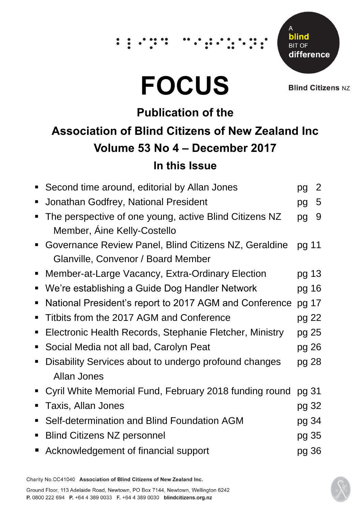## $\dddot{\hspace{0.1cm}}$  :

# **FOCUS**

Δ blind **BIT OF** difference

**Blind Citizens NZ** 

## **Publication of the Association of Blind Citizens of New Zealand Inc Volume 53 No 4 – December 2017 In this Issue**

|                | Second time around, editorial by Allan Jones            | pg    | $\overline{2}$ |
|----------------|---------------------------------------------------------|-------|----------------|
| п              | Jonathan Godfrey, National President                    | pg    | 5              |
|                | The perspective of one young, active Blind Citizens NZ  | pg    | 9              |
|                | Member, Aine Kelly-Costello                             |       |                |
|                | Governance Review Panel, Blind Citizens NZ, Geraldine   | pg 11 |                |
|                | Glanville, Convenor / Board Member                      |       |                |
|                | Member-at-Large Vacancy, Extra-Ordinary Election        | pg 13 |                |
| п              | We're establishing a Guide Dog Handler Network          | pg 16 |                |
| п              | National President's report to 2017 AGM and Conference  | pg 17 |                |
|                | Titbits from the 2017 AGM and Conference                | pg 22 |                |
| п              | Electronic Health Records, Stephanie Fletcher, Ministry | pg 25 |                |
| ш              | Social Media not all bad, Carolyn Peat                  | pg 26 |                |
|                | Disability Services about to undergo profound changes   | pg 28 |                |
|                | Allan Jones                                             |       |                |
| $\blacksquare$ | Cyril White Memorial Fund, February 2018 funding round  | pg 31 |                |
| п              | <b>Taxis, Allan Jones</b>                               | pg 32 |                |
|                | Self-determination and Blind Foundation AGM             | pg 34 |                |
| п              | <b>Blind Citizens NZ personnel</b>                      | pg 35 |                |
|                | Acknowledgement of financial support                    | pg 36 |                |
|                |                                                         |       |                |

Charity No.CC41040 Association of Blind Citizens of New Zealand Inc.

Ground Floor, 113 Adelaide Road, Newtown, PO Box 7144, Newtown, Wellington 6242 P. 0800 222 694 P. +64 4 389 0033 F. +64 4 389 0030 blindcitizens.org.nz

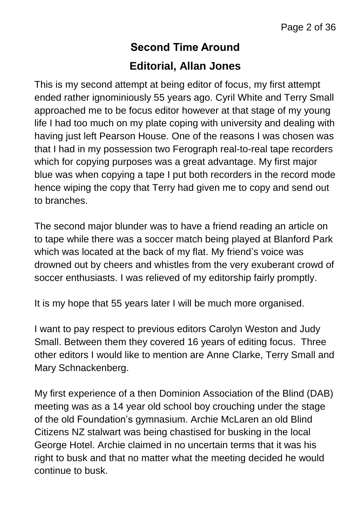## **Second Time Around Editorial, Allan Jones**

This is my second attempt at being editor of focus, my first attempt ended rather ignominiously 55 years ago. Cyril White and Terry Small approached me to be focus editor however at that stage of my young life I had too much on my plate coping with university and dealing with having just left Pearson House. One of the reasons I was chosen was that I had in my possession two Ferograph real-to-real tape recorders which for copying purposes was a great advantage. My first major blue was when copying a tape I put both recorders in the record mode hence wiping the copy that Terry had given me to copy and send out to branches.

The second major blunder was to have a friend reading an article on to tape while there was a soccer match being played at Blanford Park which was located at the back of my flat. My friend's voice was drowned out by cheers and whistles from the very exuberant crowd of soccer enthusiasts. I was relieved of my editorship fairly promptly.

It is my hope that 55 years later I will be much more organised.

I want to pay respect to previous editors Carolyn Weston and Judy Small. Between them they covered 16 years of editing focus. Three other editors I would like to mention are Anne Clarke, Terry Small and Mary Schnackenberg.

My first experience of a then Dominion Association of the Blind (DAB) meeting was as a 14 year old school boy crouching under the stage of the old Foundation's gymnasium. Archie McLaren an old Blind Citizens NZ stalwart was being chastised for busking in the local George Hotel. Archie claimed in no uncertain terms that it was his right to busk and that no matter what the meeting decided he would continue to busk.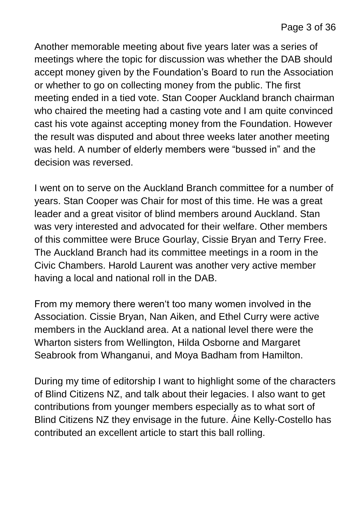Another memorable meeting about five years later was a series of meetings where the topic for discussion was whether the DAB should accept money given by the Foundation's Board to run the Association or whether to go on collecting money from the public. The first meeting ended in a tied vote. Stan Cooper Auckland branch chairman who chaired the meeting had a casting vote and I am quite convinced cast his vote against accepting money from the Foundation. However the result was disputed and about three weeks later another meeting was held. A number of elderly members were "bussed in" and the decision was reversed.

I went on to serve on the Auckland Branch committee for a number of years. Stan Cooper was Chair for most of this time. He was a great leader and a great visitor of blind members around Auckland. Stan was very interested and advocated for their welfare. Other members of this committee were Bruce Gourlay, Cissie Bryan and Terry Free. The Auckland Branch had its committee meetings in a room in the Civic Chambers. Harold Laurent was another very active member having a local and national roll in the DAB.

From my memory there weren't too many women involved in the Association. Cissie Bryan, Nan Aiken, and Ethel Curry were active members in the Auckland area. At a national level there were the Wharton sisters from Wellington, Hilda Osborne and Margaret Seabrook from Whanganui, and Moya Badham from Hamilton.

During my time of editorship I want to highlight some of the characters of Blind Citizens NZ, and talk about their legacies. I also want to get contributions from younger members especially as to what sort of Blind Citizens NZ they envisage in the future. Áine Kelly-Costello has contributed an excellent article to start this ball rolling.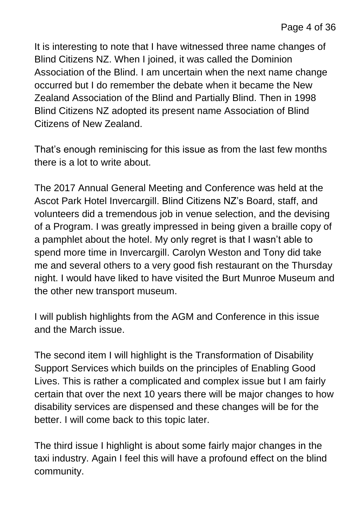It is interesting to note that I have witnessed three name changes of Blind Citizens NZ. When I joined, it was called the Dominion Association of the Blind. I am uncertain when the next name change occurred but I do remember the debate when it became the New Zealand Association of the Blind and Partially Blind. Then in 1998 Blind Citizens NZ adopted its present name Association of Blind Citizens of New Zealand.

That's enough reminiscing for this issue as from the last few months there is a lot to write about.

The 2017 Annual General Meeting and Conference was held at the Ascot Park Hotel Invercargill. Blind Citizens NZ's Board, staff, and volunteers did a tremendous job in venue selection, and the devising of a Program. I was greatly impressed in being given a braille copy of a pamphlet about the hotel. My only regret is that I wasn't able to spend more time in Invercargill. Carolyn Weston and Tony did take me and several others to a very good fish restaurant on the Thursday night. I would have liked to have visited the Burt Munroe Museum and the other new transport museum.

I will publish highlights from the AGM and Conference in this issue and the March issue.

The second item I will highlight is the Transformation of Disability Support Services which builds on the principles of Enabling Good Lives. This is rather a complicated and complex issue but I am fairly certain that over the next 10 years there will be major changes to how disability services are dispensed and these changes will be for the better. I will come back to this topic later.

The third issue I highlight is about some fairly major changes in the taxi industry. Again I feel this will have a profound effect on the blind community.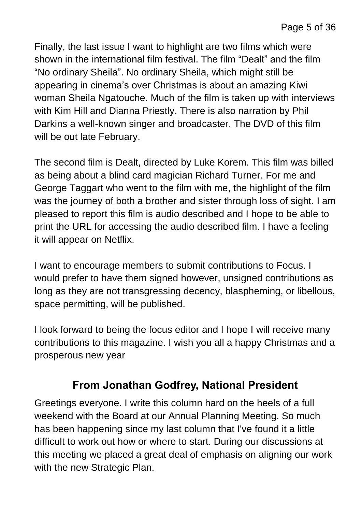Finally, the last issue I want to highlight are two films which were shown in the international film festival. The film "Dealt" and the film "No ordinary Sheila". No ordinary Sheila, which might still be appearing in cinema's over Christmas is about an amazing Kiwi woman Sheila Ngatouche. Much of the film is taken up with interviews with Kim Hill and Dianna Priestly. There is also narration by Phil Darkins a well-known singer and broadcaster. The DVD of this film will be out late February.

The second film is Dealt, directed by Luke Korem. This film was billed as being about a blind card magician Richard Turner. For me and George Taggart who went to the film with me, the highlight of the film was the journey of both a brother and sister through loss of sight. I am pleased to report this film is audio described and I hope to be able to print the URL for accessing the audio described film. I have a feeling it will appear on Netflix.

I want to encourage members to submit contributions to Focus. I would prefer to have them signed however, unsigned contributions as long as they are not transgressing decency, blaspheming, or libellous, space permitting, will be published.

I look forward to being the focus editor and I hope I will receive many contributions to this magazine. I wish you all a happy Christmas and a prosperous new year

#### **From Jonathan Godfrey, National President**

Greetings everyone. I write this column hard on the heels of a full weekend with the Board at our Annual Planning Meeting. So much has been happening since my last column that I've found it a little difficult to work out how or where to start. During our discussions at this meeting we placed a great deal of emphasis on aligning our work with the new Strategic Plan.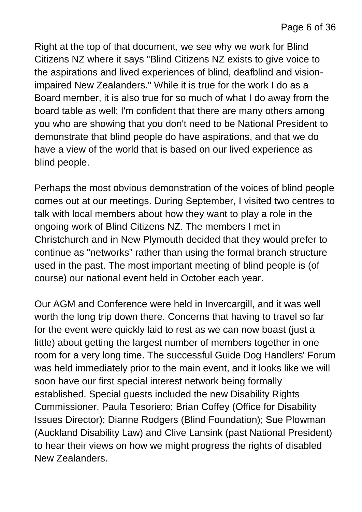Right at the top of that document, we see why we work for Blind Citizens NZ where it says "Blind Citizens NZ exists to give voice to the aspirations and lived experiences of blind, deafblind and visionimpaired New Zealanders." While it is true for the work I do as a Board member, it is also true for so much of what I do away from the board table as well; I'm confident that there are many others among you who are showing that you don't need to be National President to demonstrate that blind people do have aspirations, and that we do have a view of the world that is based on our lived experience as blind people.

Perhaps the most obvious demonstration of the voices of blind people comes out at our meetings. During September, I visited two centres to talk with local members about how they want to play a role in the ongoing work of Blind Citizens NZ. The members I met in Christchurch and in New Plymouth decided that they would prefer to continue as "networks" rather than using the formal branch structure used in the past. The most important meeting of blind people is (of course) our national event held in October each year.

Our AGM and Conference were held in Invercargill, and it was well worth the long trip down there. Concerns that having to travel so far for the event were quickly laid to rest as we can now boast (just a little) about getting the largest number of members together in one room for a very long time. The successful Guide Dog Handlers' Forum was held immediately prior to the main event, and it looks like we will soon have our first special interest network being formally established. Special guests included the new Disability Rights Commissioner, Paula Tesoriero; Brian Coffey (Office for Disability Issues Director); Dianne Rodgers (Blind Foundation); Sue Plowman (Auckland Disability Law) and Clive Lansink (past National President) to hear their views on how we might progress the rights of disabled New Zealanders.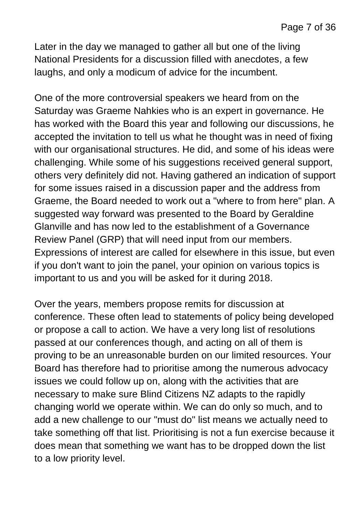Later in the day we managed to gather all but one of the living National Presidents for a discussion filled with anecdotes, a few laughs, and only a modicum of advice for the incumbent.

One of the more controversial speakers we heard from on the Saturday was Graeme Nahkies who is an expert in governance. He has worked with the Board this year and following our discussions, he accepted the invitation to tell us what he thought was in need of fixing with our organisational structures. He did, and some of his ideas were challenging. While some of his suggestions received general support, others very definitely did not. Having gathered an indication of support for some issues raised in a discussion paper and the address from Graeme, the Board needed to work out a "where to from here" plan. A suggested way forward was presented to the Board by Geraldine Glanville and has now led to the establishment of a Governance Review Panel (GRP) that will need input from our members. Expressions of interest are called for elsewhere in this issue, but even if you don't want to join the panel, your opinion on various topics is important to us and you will be asked for it during 2018.

Over the years, members propose remits for discussion at conference. These often lead to statements of policy being developed or propose a call to action. We have a very long list of resolutions passed at our conferences though, and acting on all of them is proving to be an unreasonable burden on our limited resources. Your Board has therefore had to prioritise among the numerous advocacy issues we could follow up on, along with the activities that are necessary to make sure Blind Citizens NZ adapts to the rapidly changing world we operate within. We can do only so much, and to add a new challenge to our "must do" list means we actually need to take something off that list. Prioritising is not a fun exercise because it does mean that something we want has to be dropped down the list to a low priority level.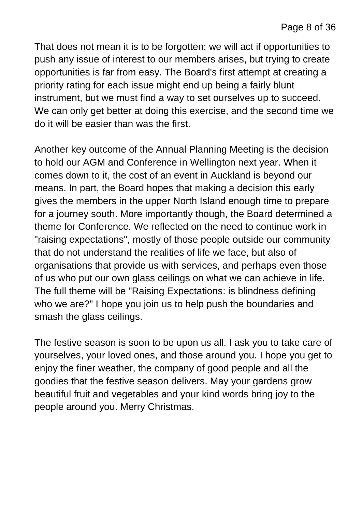That does not mean it is to be forgotten; we will act if opportunities to push any issue of interest to our members arises, but trying to create opportunities is far from easy. The Board's first attempt at creating a priority rating for each issue might end up being a fairly blunt instrument, but we must find a way to set ourselves up to succeed. We can only get better at doing this exercise, and the second time we do it will be easier than was the first.

Another key outcome of the Annual Planning Meeting is the decision to hold our AGM and Conference in Wellington next year. When it comes down to it, the cost of an event in Auckland is beyond our means. In part, the Board hopes that making a decision this early gives the members in the upper North Island enough time to prepare for a journey south. More importantly though, the Board determined a theme for Conference. We reflected on the need to continue work in "raising expectations", mostly of those people outside our community that do not understand the realities of life we face, but also of organisations that provide us with services, and perhaps even those of us who put our own glass ceilings on what we can achieve in life. The full theme will be "Raising Expectations: is blindness defining who we are?" I hope you join us to help push the boundaries and smash the glass ceilings.

The festive season is soon to be upon us all. I ask you to take care of yourselves, your loved ones, and those around you. I hope you get to enjoy the finer weather, the company of good people and all the goodies that the festive season delivers. May your gardens grow beautiful fruit and vegetables and your kind words bring joy to the people around you. Merry Christmas.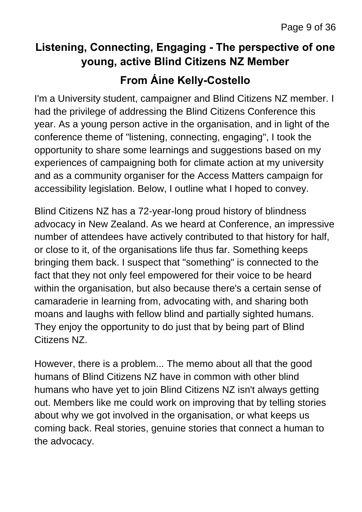### **Listening, Connecting, Engaging - The perspective of one young, active Blind Citizens NZ Member From Áine Kelly-Costello**

I'm a University student, campaigner and Blind Citizens NZ member. I had the privilege of addressing the Blind Citizens Conference this year. As a young person active in the organisation, and in light of the conference theme of "listening, connecting, engaging", I took the opportunity to share some learnings and suggestions based on my experiences of campaigning both for climate action at my university and as a community organiser for the Access Matters campaign for accessibility legislation. Below, I outline what I hoped to convey.

Blind Citizens NZ has a 72-year-long proud history of blindness advocacy in New Zealand. As we heard at Conference, an impressive number of attendees have actively contributed to that history for half, or close to it, of the organisations life thus far. Something keeps bringing them back. I suspect that "something" is connected to the fact that they not only feel empowered for their voice to be heard within the organisation, but also because there's a certain sense of camaraderie in learning from, advocating with, and sharing both moans and laughs with fellow blind and partially sighted humans. They enjoy the opportunity to do just that by being part of Blind Citizens NZ.

However, there is a problem... The memo about all that the good humans of Blind Citizens NZ have in common with other blind humans who have yet to join Blind Citizens NZ isn't always getting out. Members like me could work on improving that by telling stories about why we got involved in the organisation, or what keeps us coming back. Real stories, genuine stories that connect a human to the advocacy.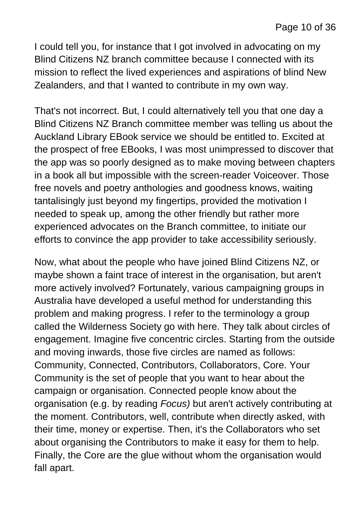I could tell you, for instance that I got involved in advocating on my Blind Citizens NZ branch committee because I connected with its mission to reflect the lived experiences and aspirations of blind New Zealanders, and that I wanted to contribute in my own way.

That's not incorrect. But, I could alternatively tell you that one day a Blind Citizens NZ Branch committee member was telling us about the Auckland Library EBook service we should be entitled to. Excited at the prospect of free EBooks, I was most unimpressed to discover that the app was so poorly designed as to make moving between chapters in a book all but impossible with the screen-reader Voiceover. Those free novels and poetry anthologies and goodness knows, waiting tantalisingly just beyond my fingertips, provided the motivation I needed to speak up, among the other friendly but rather more experienced advocates on the Branch committee, to initiate our efforts to convince the app provider to take accessibility seriously.

Now, what about the people who have joined Blind Citizens NZ, or maybe shown a faint trace of interest in the organisation, but aren't more actively involved? Fortunately, various campaigning groups in Australia have developed a useful method for understanding this problem and making progress. I refer to the terminology a group called the Wilderness Society go with here. They talk about circles of engagement. Imagine five concentric circles. Starting from the outside and moving inwards, those five circles are named as follows: Community, Connected, Contributors, Collaborators, Core. Your Community is the set of people that you want to hear about the campaign or organisation. Connected people know about the organisation (e.g. by reading *Focus)* but aren't actively contributing at the moment. Contributors, well, contribute when directly asked, with their time, money or expertise. Then, it's the Collaborators who set about organising the Contributors to make it easy for them to help. Finally, the Core are the glue without whom the organisation would fall apart.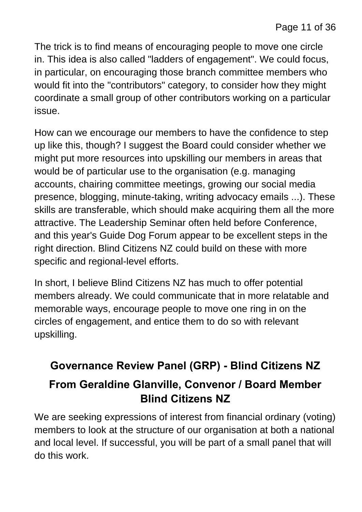The trick is to find means of encouraging people to move one circle in. This idea is also called "ladders of engagement". We could focus, in particular, on encouraging those branch committee members who would fit into the "contributors" category, to consider how they might coordinate a small group of other contributors working on a particular issue.

How can we encourage our members to have the confidence to step up like this, though? I suggest the Board could consider whether we might put more resources into upskilling our members in areas that would be of particular use to the organisation (e.g. managing accounts, chairing committee meetings, growing our social media presence, blogging, minute-taking, writing advocacy emails ...). These skills are transferable, which should make acquiring them all the more attractive. The Leadership Seminar often held before Conference, and this year's Guide Dog Forum appear to be excellent steps in the right direction. Blind Citizens NZ could build on these with more specific and regional-level efforts.

In short, I believe Blind Citizens NZ has much to offer potential members already. We could communicate that in more relatable and memorable ways, encourage people to move one ring in on the circles of engagement, and entice them to do so with relevant upskilling.

## **Governance Review Panel (GRP) - Blind Citizens NZ**

#### **From Geraldine Glanville, Convenor / Board Member Blind Citizens NZ**

We are seeking expressions of interest from financial ordinary (voting) members to look at the structure of our organisation at both a national and local level. If successful, you will be part of a small panel that will do this work.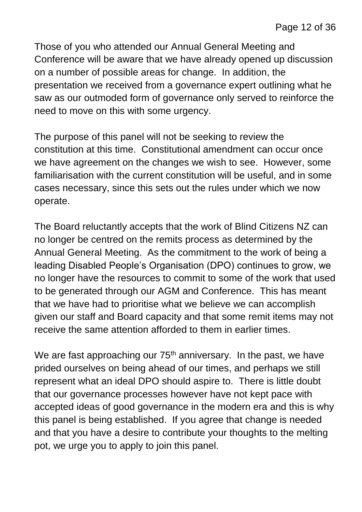Those of you who attended our Annual General Meeting and Conference will be aware that we have already opened up discussion on a number of possible areas for change. In addition, the presentation we received from a governance expert outlining what he saw as our outmoded form of governance only served to reinforce the need to move on this with some urgency.

The purpose of this panel will not be seeking to review the constitution at this time. Constitutional amendment can occur once we have agreement on the changes we wish to see. However, some familiarisation with the current constitution will be useful, and in some cases necessary, since this sets out the rules under which we now operate.

The Board reluctantly accepts that the work of Blind Citizens NZ can no longer be centred on the remits process as determined by the Annual General Meeting. As the commitment to the work of being a leading Disabled People's Organisation (DPO) continues to grow, we no longer have the resources to commit to some of the work that used to be generated through our AGM and Conference. This has meant that we have had to prioritise what we believe we can accomplish given our staff and Board capacity and that some remit items may not receive the same attention afforded to them in earlier times.

We are fast approaching our  $75<sup>th</sup>$  anniversary. In the past, we have prided ourselves on being ahead of our times, and perhaps we still represent what an ideal DPO should aspire to. There is little doubt that our governance processes however have not kept pace with accepted ideas of good governance in the modern era and this is why this panel is being established. If you agree that change is needed and that you have a desire to contribute your thoughts to the melting pot, we urge you to apply to join this panel.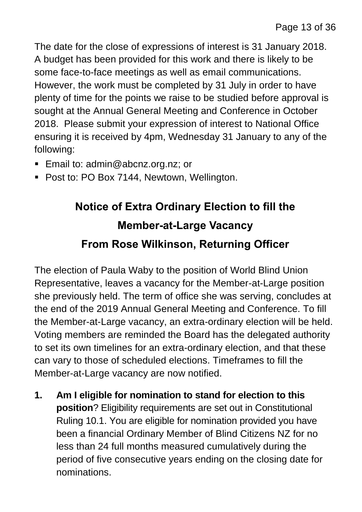The date for the close of expressions of interest is 31 January 2018. A budget has been provided for this work and there is likely to be some face-to-face meetings as well as email communications. However, the work must be completed by 31 July in order to have plenty of time for the points we raise to be studied before approval is sought at the Annual General Meeting and Conference in October 2018. Please submit your expression of interest to National Office ensuring it is received by 4pm, Wednesday 31 January to any of the following:

- Email to: admin@abcnz.org.nz; or
- **Post to: PO Box 7144, Newtown, Wellington.**

## **Notice of Extra Ordinary Election to fill the Member-at-Large Vacancy From Rose Wilkinson, Returning Officer**

The election of Paula Waby to the position of World Blind Union Representative, leaves a vacancy for the Member-at-Large position she previously held. The term of office she was serving, concludes at the end of the 2019 Annual General Meeting and Conference. To fill the Member-at-Large vacancy, an extra-ordinary election will be held. Voting members are reminded the Board has the delegated authority to set its own timelines for an extra-ordinary election, and that these can vary to those of scheduled elections. Timeframes to fill the Member-at-Large vacancy are now notified.

**1. Am I eligible for nomination to stand for election to this position**? Eligibility requirements are set out in Constitutional Ruling 10.1. You are eligible for nomination provided you have been a financial Ordinary Member of Blind Citizens NZ for no less than 24 full months measured cumulatively during the period of five consecutive years ending on the closing date for nominations.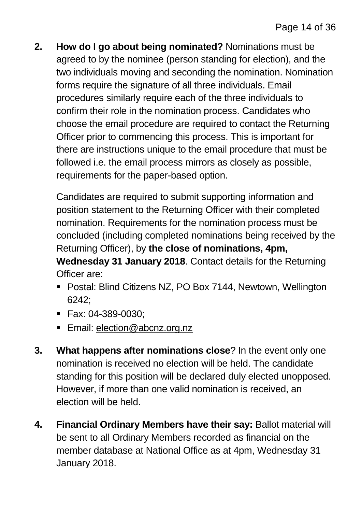**2. How do I go about being nominated?** Nominations must be agreed to by the nominee (person standing for election), and the two individuals moving and seconding the nomination. Nomination forms require the signature of all three individuals. Email procedures similarly require each of the three individuals to confirm their role in the nomination process. Candidates who choose the email procedure are required to contact the Returning Officer prior to commencing this process. This is important for there are instructions unique to the email procedure that must be followed i.e. the email process mirrors as closely as possible, requirements for the paper-based option.

Candidates are required to submit supporting information and position statement to the Returning Officer with their completed nomination. Requirements for the nomination process must be concluded (including completed nominations being received by the Returning Officer), by **the close of nominations, 4pm, Wednesday 31 January 2018**. Contact details for the Returning Officer are:

- Postal: Blind Citizens NZ, PO Box 7144, Newtown, Wellington 6242;
- Fax: 04-389-0030;
- **Email: [election@abcnz.org.nz](mailto:election@abcnz.org.nz)**
- **3. What happens after nominations close**? In the event only one nomination is received no election will be held. The candidate standing for this position will be declared duly elected unopposed. However, if more than one valid nomination is received, an election will be held.
- **4. Financial Ordinary Members have their say:** Ballot material will be sent to all Ordinary Members recorded as financial on the member database at National Office as at 4pm, Wednesday 31 January 2018.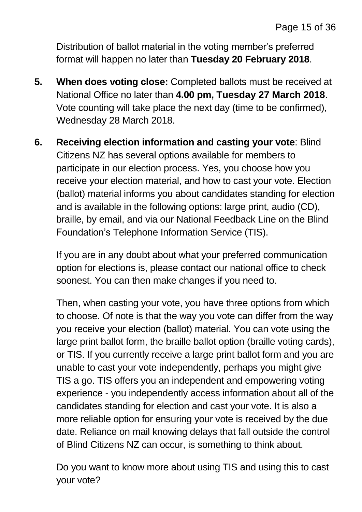Distribution of ballot material in the voting member's preferred format will happen no later than **Tuesday 20 February 2018**.

- **5. When does voting close:** Completed ballots must be received at National Office no later than **4.00 pm, Tuesday 27 March 2018**. Vote counting will take place the next day (time to be confirmed), Wednesday 28 March 2018.
- **6. Receiving election information and casting your vote**: Blind Citizens NZ has several options available for members to participate in our election process. Yes, you choose how you receive your election material, and how to cast your vote. Election (ballot) material informs you about candidates standing for election and is available in the following options: large print, audio (CD), braille, by email, and via our National Feedback Line on the Blind Foundation's Telephone Information Service (TIS).

If you are in any doubt about what your preferred communication option for elections is, please contact our national office to check soonest. You can then make changes if you need to.

Then, when casting your vote, you have three options from which to choose. Of note is that the way you vote can differ from the way you receive your election (ballot) material. You can vote using the large print ballot form, the braille ballot option (braille voting cards), or TIS. If you currently receive a large print ballot form and you are unable to cast your vote independently, perhaps you might give TIS a go. TIS offers you an independent and empowering voting experience - you independently access information about all of the candidates standing for election and cast your vote. It is also a more reliable option for ensuring your vote is received by the due date. Reliance on mail knowing delays that fall outside the control of Blind Citizens NZ can occur, is something to think about.

Do you want to know more about using TIS and using this to cast your vote?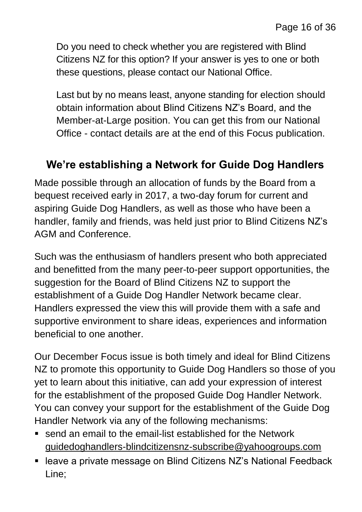Do you need to check whether you are registered with Blind Citizens NZ for this option? If your answer is yes to one or both these questions, please contact our National Office.

Last but by no means least, anyone standing for election should obtain information about Blind Citizens NZ's Board, and the Member-at-Large position. You can get this from our National Office - contact details are at the end of this Focus publication.

#### **We're establishing a Network for Guide Dog Handlers**

Made possible through an allocation of funds by the Board from a bequest received early in 2017, a two-day forum for current and aspiring Guide Dog Handlers, as well as those who have been a handler, family and friends, was held just prior to Blind Citizens NZ's AGM and Conference.

Such was the enthusiasm of handlers present who both appreciated and benefitted from the many peer-to-peer support opportunities, the suggestion for the Board of Blind Citizens NZ to support the establishment of a Guide Dog Handler Network became clear. Handlers expressed the view this will provide them with a safe and supportive environment to share ideas, experiences and information beneficial to one another.

Our December Focus issue is both timely and ideal for Blind Citizens NZ to promote this opportunity to Guide Dog Handlers so those of you yet to learn about this initiative, can add your expression of interest for the establishment of the proposed Guide Dog Handler Network. You can convey your support for the establishment of the Guide Dog Handler Network via any of the following mechanisms:

- send an email to the email-list established for the Network [guidedoghandlers-blindcitizensnz-subscribe@yahoogroups.com](mailto:guidedoghandlers-blindcitizensnz-subscribe@yahoogroups.com)
- leave a private message on Blind Citizens NZ's National Feedback Line;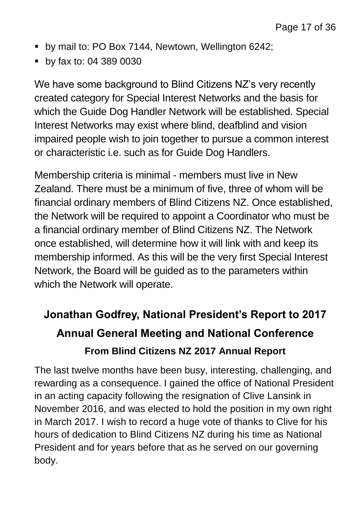- **by mail to: PO Box 7144, Newtown, Wellington 6242;**
- **by fax to: 04 389 0030**

We have some background to Blind Citizens NZ's very recently created category for Special Interest Networks and the basis for which the Guide Dog Handler Network will be established. Special Interest Networks may exist where blind, deafblind and vision impaired people wish to join together to pursue a common interest or characteristic i.e. such as for Guide Dog Handlers.

Membership criteria is minimal - members must live in New Zealand. There must be a minimum of five, three of whom will be financial ordinary members of Blind Citizens NZ. Once established, the Network will be required to appoint a Coordinator who must be a financial ordinary member of Blind Citizens NZ. The Network once established, will determine how it will link with and keep its membership informed. As this will be the very first Special Interest Network, the Board will be guided as to the parameters within which the Network will operate.

## **Jonathan Godfrey, National President's Report to 2017 Annual General Meeting and National Conference From Blind Citizens NZ 2017 Annual Report**

The last twelve months have been busy, interesting, challenging, and rewarding as a consequence. I gained the office of National President in an acting capacity following the resignation of Clive Lansink in November 2016, and was elected to hold the position in my own right in March 2017. I wish to record a huge vote of thanks to Clive for his hours of dedication to Blind Citizens NZ during his time as National President and for years before that as he served on our governing body.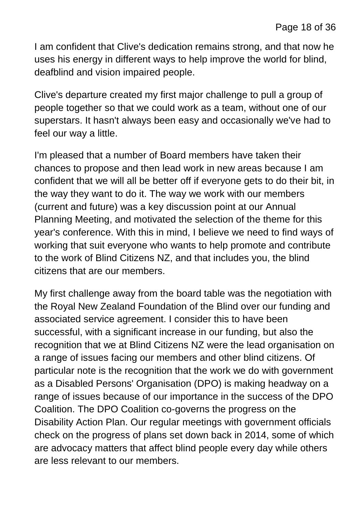I am confident that Clive's dedication remains strong, and that now he uses his energy in different ways to help improve the world for blind, deafblind and vision impaired people.

Clive's departure created my first major challenge to pull a group of people together so that we could work as a team, without one of our superstars. It hasn't always been easy and occasionally we've had to feel our way a little.

I'm pleased that a number of Board members have taken their chances to propose and then lead work in new areas because I am confident that we will all be better off if everyone gets to do their bit, in the way they want to do it. The way we work with our members (current and future) was a key discussion point at our Annual Planning Meeting, and motivated the selection of the theme for this year's conference. With this in mind, I believe we need to find ways of working that suit everyone who wants to help promote and contribute to the work of Blind Citizens NZ, and that includes you, the blind citizens that are our members.

My first challenge away from the board table was the negotiation with the Royal New Zealand Foundation of the Blind over our funding and associated service agreement. I consider this to have been successful, with a significant increase in our funding, but also the recognition that we at Blind Citizens NZ were the lead organisation on a range of issues facing our members and other blind citizens. Of particular note is the recognition that the work we do with government as a Disabled Persons' Organisation (DPO) is making headway on a range of issues because of our importance in the success of the DPO Coalition. The DPO Coalition co-governs the progress on the Disability Action Plan. Our regular meetings with government officials check on the progress of plans set down back in 2014, some of which are advocacy matters that affect blind people every day while others are less relevant to our members.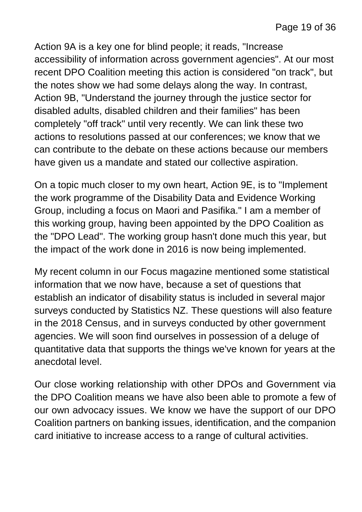Action 9A is a key one for blind people; it reads, "Increase accessibility of information across government agencies". At our most recent DPO Coalition meeting this action is considered "on track", but the notes show we had some delays along the way. In contrast, Action 9B, "Understand the journey through the justice sector for disabled adults, disabled children and their families" has been completely "off track" until very recently. We can link these two actions to resolutions passed at our conferences; we know that we can contribute to the debate on these actions because our members have given us a mandate and stated our collective aspiration.

On a topic much closer to my own heart, Action 9E, is to "Implement the work programme of the Disability Data and Evidence Working Group, including a focus on Maori and Pasifika." I am a member of this working group, having been appointed by the DPO Coalition as the "DPO Lead". The working group hasn't done much this year, but the impact of the work done in 2016 is now being implemented.

My recent column in our Focus magazine mentioned some statistical information that we now have, because a set of questions that establish an indicator of disability status is included in several major surveys conducted by Statistics NZ. These questions will also feature in the 2018 Census, and in surveys conducted by other government agencies. We will soon find ourselves in possession of a deluge of quantitative data that supports the things we've known for years at the anecdotal level.

Our close working relationship with other DPOs and Government via the DPO Coalition means we have also been able to promote a few of our own advocacy issues. We know we have the support of our DPO Coalition partners on banking issues, identification, and the companion card initiative to increase access to a range of cultural activities.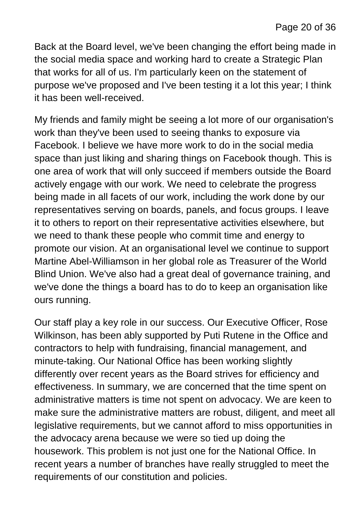Back at the Board level, we've been changing the effort being made in the social media space and working hard to create a Strategic Plan that works for all of us. I'm particularly keen on the statement of purpose we've proposed and I've been testing it a lot this year; I think it has been well-received.

My friends and family might be seeing a lot more of our organisation's work than they've been used to seeing thanks to exposure via Facebook. I believe we have more work to do in the social media space than just liking and sharing things on Facebook though. This is one area of work that will only succeed if members outside the Board actively engage with our work. We need to celebrate the progress being made in all facets of our work, including the work done by our representatives serving on boards, panels, and focus groups. I leave it to others to report on their representative activities elsewhere, but we need to thank these people who commit time and energy to promote our vision. At an organisational level we continue to support Martine Abel-Williamson in her global role as Treasurer of the World Blind Union. We've also had a great deal of governance training, and we've done the things a board has to do to keep an organisation like ours running.

Our staff play a key role in our success. Our Executive Officer, Rose Wilkinson, has been ably supported by Puti Rutene in the Office and contractors to help with fundraising, financial management, and minute-taking. Our National Office has been working slightly differently over recent years as the Board strives for efficiency and effectiveness. In summary, we are concerned that the time spent on administrative matters is time not spent on advocacy. We are keen to make sure the administrative matters are robust, diligent, and meet all legislative requirements, but we cannot afford to miss opportunities in the advocacy arena because we were so tied up doing the housework. This problem is not just one for the National Office. In recent years a number of branches have really struggled to meet the requirements of our constitution and policies.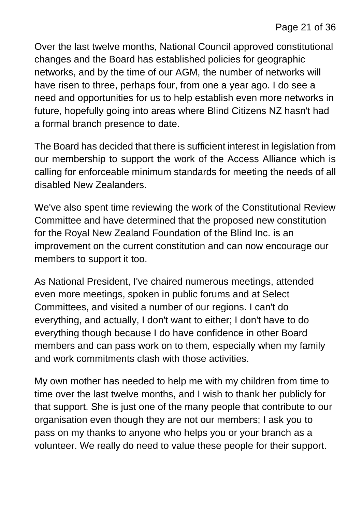Over the last twelve months, National Council approved constitutional changes and the Board has established policies for geographic networks, and by the time of our AGM, the number of networks will have risen to three, perhaps four, from one a year ago. I do see a need and opportunities for us to help establish even more networks in future, hopefully going into areas where Blind Citizens NZ hasn't had a formal branch presence to date.

The Board has decided that there is sufficient interest in legislation from our membership to support the work of the Access Alliance which is calling for enforceable minimum standards for meeting the needs of all disabled New Zealanders.

We've also spent time reviewing the work of the Constitutional Review Committee and have determined that the proposed new constitution for the Royal New Zealand Foundation of the Blind Inc. is an improvement on the current constitution and can now encourage our members to support it too.

As National President, I've chaired numerous meetings, attended even more meetings, spoken in public forums and at Select Committees, and visited a number of our regions. I can't do everything, and actually, I don't want to either; I don't have to do everything though because I do have confidence in other Board members and can pass work on to them, especially when my family and work commitments clash with those activities.

My own mother has needed to help me with my children from time to time over the last twelve months, and I wish to thank her publicly for that support. She is just one of the many people that contribute to our organisation even though they are not our members; I ask you to pass on my thanks to anyone who helps you or your branch as a volunteer. We really do need to value these people for their support.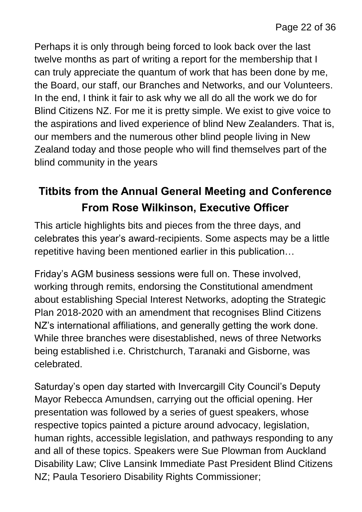Perhaps it is only through being forced to look back over the last twelve months as part of writing a report for the membership that I can truly appreciate the quantum of work that has been done by me, the Board, our staff, our Branches and Networks, and our Volunteers. In the end, I think it fair to ask why we all do all the work we do for Blind Citizens NZ. For me it is pretty simple. We exist to give voice to the aspirations and lived experience of blind New Zealanders. That is, our members and the numerous other blind people living in New Zealand today and those people who will find themselves part of the blind community in the years

#### **Titbits from the Annual General Meeting and Conference From Rose Wilkinson, Executive Officer**

This article highlights bits and pieces from the three days, and celebrates this year's award-recipients. Some aspects may be a little repetitive having been mentioned earlier in this publication…

Friday's AGM business sessions were full on. These involved, working through remits, endorsing the Constitutional amendment about establishing Special Interest Networks, adopting the Strategic Plan 2018-2020 with an amendment that recognises Blind Citizens NZ's international affiliations, and generally getting the work done. While three branches were disestablished, news of three Networks being established i.e. Christchurch, Taranaki and Gisborne, was celebrated.

Saturday's open day started with Invercargill City Council's Deputy Mayor Rebecca Amundsen, carrying out the official opening. Her presentation was followed by a series of guest speakers, whose respective topics painted a picture around advocacy, legislation, human rights, accessible legislation, and pathways responding to any and all of these topics. Speakers were Sue Plowman from Auckland Disability Law; Clive Lansink Immediate Past President Blind Citizens NZ; Paula Tesoriero Disability Rights Commissioner;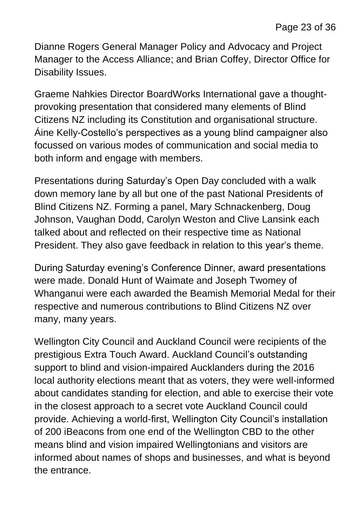Dianne Rogers General Manager Policy and Advocacy and Project Manager to the Access Alliance; and Brian Coffey, Director Office for Disability Issues.

Graeme Nahkies Director BoardWorks International gave a thoughtprovoking presentation that considered many elements of Blind Citizens NZ including its Constitution and organisational structure. Áine Kelly-Costello's perspectives as a young blind campaigner also focussed on various modes of communication and social media to both inform and engage with members.

Presentations during Saturday's Open Day concluded with a walk down memory lane by all but one of the past National Presidents of Blind Citizens NZ. Forming a panel, Mary Schnackenberg, Doug Johnson, Vaughan Dodd, Carolyn Weston and Clive Lansink each talked about and reflected on their respective time as National President. They also gave feedback in relation to this year's theme.

During Saturday evening's Conference Dinner, award presentations were made. Donald Hunt of Waimate and Joseph Twomey of Whanganui were each awarded the Beamish Memorial Medal for their respective and numerous contributions to Blind Citizens NZ over many, many years.

Wellington City Council and Auckland Council were recipients of the prestigious Extra Touch Award. Auckland Council's outstanding support to blind and vision-impaired Aucklanders during the 2016 local authority elections meant that as voters, they were well-informed about candidates standing for election, and able to exercise their vote in the closest approach to a secret vote Auckland Council could provide. Achieving a world-first, Wellington City Council's installation of 200 iBeacons from one end of the Wellington CBD to the other means blind and vision impaired Wellingtonians and visitors are informed about names of shops and businesses, and what is beyond the entrance.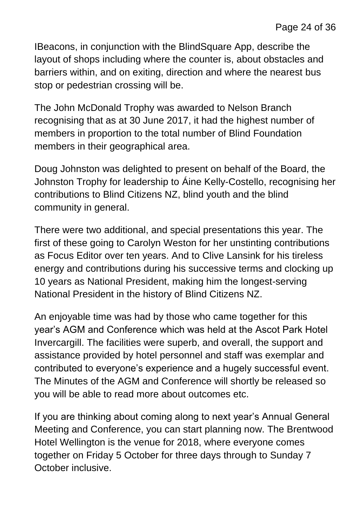IBeacons, in conjunction with the BlindSquare App, describe the layout of shops including where the counter is, about obstacles and barriers within, and on exiting, direction and where the nearest bus stop or pedestrian crossing will be.

The John McDonald Trophy was awarded to Nelson Branch recognising that as at 30 June 2017, it had the highest number of members in proportion to the total number of Blind Foundation members in their geographical area.

Doug Johnston was delighted to present on behalf of the Board, the Johnston Trophy for leadership to Áine Kelly-Costello, recognising her contributions to Blind Citizens NZ, blind youth and the blind community in general.

There were two additional, and special presentations this year. The first of these going to Carolyn Weston for her unstinting contributions as Focus Editor over ten years. And to Clive Lansink for his tireless energy and contributions during his successive terms and clocking up 10 years as National President, making him the longest-serving National President in the history of Blind Citizens NZ.

An enjoyable time was had by those who came together for this year's AGM and Conference which was held at the Ascot Park Hotel Invercargill. The facilities were superb, and overall, the support and assistance provided by hotel personnel and staff was exemplar and contributed to everyone's experience and a hugely successful event. The Minutes of the AGM and Conference will shortly be released so you will be able to read more about outcomes etc.

If you are thinking about coming along to next year's Annual General Meeting and Conference, you can start planning now. The Brentwood Hotel Wellington is the venue for 2018, where everyone comes together on Friday 5 October for three days through to Sunday 7 October inclusive.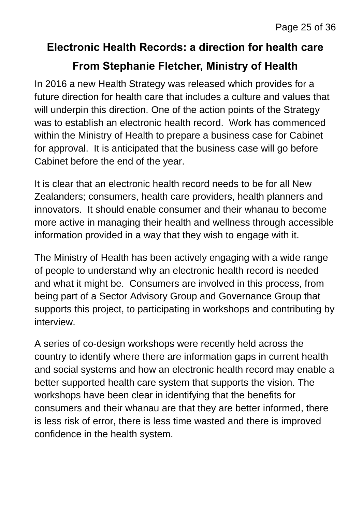#### **Electronic Health Records: a direction for health care**

#### **From Stephanie Fletcher, Ministry of Health**

In 2016 a new Health Strategy was released which provides for a future direction for health care that includes a culture and values that will underpin this direction. One of the action points of the Strategy was to establish an electronic health record. Work has commenced within the Ministry of Health to prepare a business case for Cabinet for approval. It is anticipated that the business case will go before Cabinet before the end of the year.

It is clear that an electronic health record needs to be for all New Zealanders; consumers, health care providers, health planners and innovators. It should enable consumer and their whanau to become more active in managing their health and wellness through accessible information provided in a way that they wish to engage with it.

The Ministry of Health has been actively engaging with a wide range of people to understand why an electronic health record is needed and what it might be. Consumers are involved in this process, from being part of a Sector Advisory Group and Governance Group that supports this project, to participating in workshops and contributing by interview.

A series of co-design workshops were recently held across the country to identify where there are information gaps in current health and social systems and how an electronic health record may enable a better supported health care system that supports the vision. The workshops have been clear in identifying that the benefits for consumers and their whanau are that they are better informed, there is less risk of error, there is less time wasted and there is improved confidence in the health system.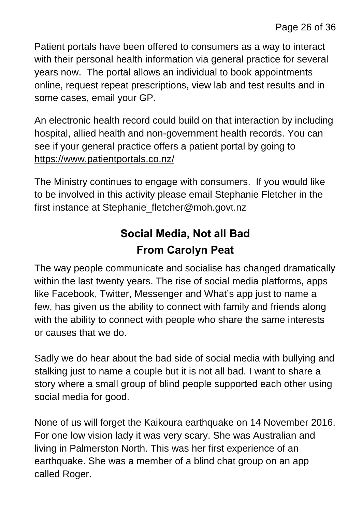Patient portals have been offered to consumers as a way to interact with their personal health information via general practice for several years now. The portal allows an individual to book appointments online, request repeat prescriptions, view lab and test results and in some cases, email your GP.

An electronic health record could build on that interaction by including hospital, allied health and non-government health records. You can see if your general practice offers a patient portal by going to <https://www.patientportals.co.nz/>

The Ministry continues to engage with consumers. If you would like to be involved in this activity please email Stephanie Fletcher in the first instance at Stephanie fletcher@moh.govt.nz

#### **Social Media, Not all Bad From Carolyn Peat**

The way people communicate and socialise has changed dramatically within the last twenty years. The rise of social media platforms, apps like Facebook, Twitter, Messenger and What's app just to name a few, has given us the ability to connect with family and friends along with the ability to connect with people who share the same interests or causes that we do.

Sadly we do hear about the bad side of social media with bullying and stalking just to name a couple but it is not all bad. I want to share a story where a small group of blind people supported each other using social media for good.

None of us will forget the Kaikoura earthquake on 14 November 2016. For one low vision lady it was very scary. She was Australian and living in Palmerston North. This was her first experience of an earthquake. She was a member of a blind chat group on an app called Roger.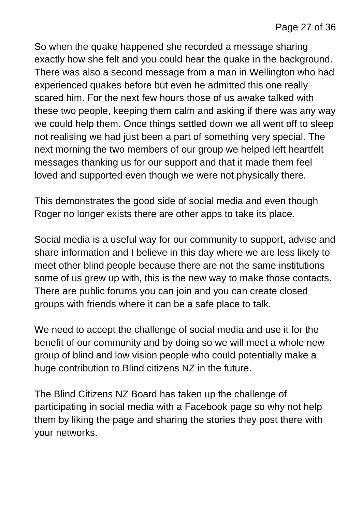So when the quake happened she recorded a message sharing exactly how she felt and you could hear the quake in the background. There was also a second message from a man in Wellington who had experienced quakes before but even he admitted this one really scared him. For the next few hours those of us awake talked with these two people, keeping them calm and asking if there was any way we could help them. Once things settled down we all went off to sleep not realising we had just been a part of something very special. The next morning the two members of our group we helped left heartfelt messages thanking us for our support and that it made them feel loved and supported even though we were not physically there.

This demonstrates the good side of social media and even though Roger no longer exists there are other apps to take its place.

Social media is a useful way for our community to support, advise and share information and I believe in this day where we are less likely to meet other blind people because there are not the same institutions some of us grew up with, this is the new way to make those contacts. There are public forums you can join and you can create closed groups with friends where it can be a safe place to talk.

We need to accept the challenge of social media and use it for the benefit of our community and by doing so we will meet a whole new group of blind and low vision people who could potentially make a huge contribution to Blind citizens NZ in the future.

The Blind Citizens NZ Board has taken up the challenge of participating in social media with a Facebook page so why not help them by liking the page and sharing the stories they post there with your networks.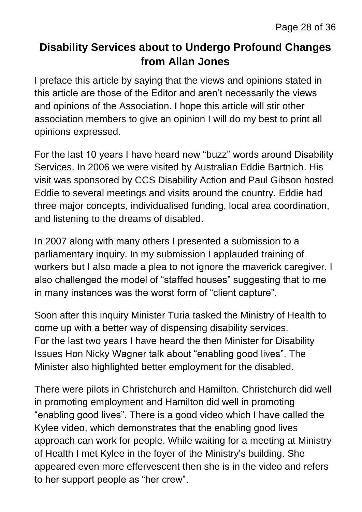#### **Disability Services about to Undergo Profound Changes from Allan Jones**

I preface this article by saying that the views and opinions stated in this article are those of the Editor and aren't necessarily the views and opinions of the Association. I hope this article will stir other association members to give an opinion I will do my best to print all opinions expressed.

For the last 10 years I have heard new "buzz" words around Disability Services. In 2006 we were visited by Australian Eddie Bartnich. His visit was sponsored by CCS Disability Action and Paul Gibson hosted Eddie to several meetings and visits around the country. Eddie had three major concepts, individualised funding, local area coordination, and listening to the dreams of disabled.

In 2007 along with many others I presented a submission to a parliamentary inquiry. In my submission I applauded training of workers but I also made a plea to not ignore the maverick caregiver. I also challenged the model of "staffed houses" suggesting that to me in many instances was the worst form of "client capture".

Soon after this inquiry Minister Turia tasked the Ministry of Health to come up with a better way of dispensing disability services. For the last two years I have heard the then Minister for Disability Issues Hon Nicky Wagner talk about "enabling good lives". The Minister also highlighted better employment for the disabled.

There were pilots in Christchurch and Hamilton. Christchurch did well in promoting employment and Hamilton did well in promoting "enabling good lives". There is a good video which I have called the Kylee video, which demonstrates that the enabling good lives approach can work for people. While waiting for a meeting at Ministry of Health I met Kylee in the foyer of the Ministry's building. She appeared even more effervescent then she is in the video and refers to her support people as "her crew".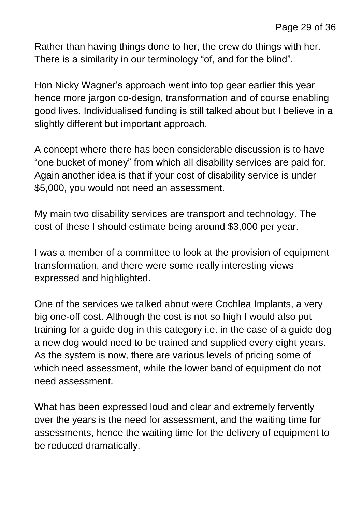Rather than having things done to her, the crew do things with her. There is a similarity in our terminology "of, and for the blind".

Hon Nicky Wagner's approach went into top gear earlier this year hence more jargon co-design, transformation and of course enabling good lives. Individualised funding is still talked about but I believe in a slightly different but important approach.

A concept where there has been considerable discussion is to have "one bucket of money" from which all disability services are paid for. Again another idea is that if your cost of disability service is under \$5,000, you would not need an assessment.

My main two disability services are transport and technology. The cost of these I should estimate being around \$3,000 per year.

I was a member of a committee to look at the provision of equipment transformation, and there were some really interesting views expressed and highlighted.

One of the services we talked about were Cochlea Implants, a very big one-off cost. Although the cost is not so high I would also put training for a guide dog in this category i.e. in the case of a guide dog a new dog would need to be trained and supplied every eight years. As the system is now, there are various levels of pricing some of which need assessment, while the lower band of equipment do not need assessment.

What has been expressed loud and clear and extremely fervently over the years is the need for assessment, and the waiting time for assessments, hence the waiting time for the delivery of equipment to be reduced dramatically.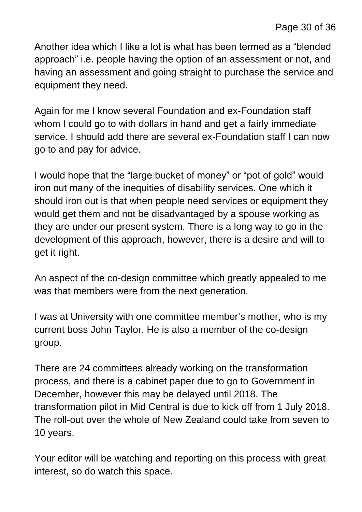Another idea which I like a lot is what has been termed as a "blended approach" i.e. people having the option of an assessment or not, and having an assessment and going straight to purchase the service and equipment they need.

Again for me I know several Foundation and ex-Foundation staff whom I could go to with dollars in hand and get a fairly immediate service. I should add there are several ex-Foundation staff I can now go to and pay for advice.

I would hope that the "large bucket of money" or "pot of gold" would iron out many of the inequities of disability services. One which it should iron out is that when people need services or equipment they would get them and not be disadvantaged by a spouse working as they are under our present system. There is a long way to go in the development of this approach, however, there is a desire and will to get it right.

An aspect of the co-design committee which greatly appealed to me was that members were from the next generation.

I was at University with one committee member's mother, who is my current boss John Taylor. He is also a member of the co-design group.

There are 24 committees already working on the transformation process, and there is a cabinet paper due to go to Government in December, however this may be delayed until 2018. The transformation pilot in Mid Central is due to kick off from 1 July 2018. The roll-out over the whole of New Zealand could take from seven to 10 years.

Your editor will be watching and reporting on this process with great interest, so do watch this space.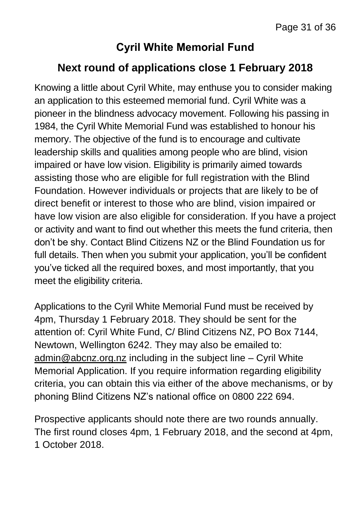#### **Cyril White Memorial Fund**

#### **Next round of applications close 1 February 2018**

Knowing a little about Cyril White, may enthuse you to consider making an application to this esteemed memorial fund. Cyril White was a pioneer in the blindness advocacy movement. Following his passing in 1984, the Cyril White Memorial Fund was established to honour his memory. The objective of the fund is to encourage and cultivate leadership skills and qualities among people who are blind, vision impaired or have low vision. Eligibility is primarily aimed towards assisting those who are eligible for full registration with the Blind Foundation. However individuals or projects that are likely to be of direct benefit or interest to those who are blind, vision impaired or have low vision are also eligible for consideration. If you have a project or activity and want to find out whether this meets the fund criteria, then don't be shy. Contact Blind Citizens NZ or the Blind Foundation us for full details. Then when you submit your application, you'll be confident you've ticked all the required boxes, and most importantly, that you meet the eligibility criteria.

Applications to the Cyril White Memorial Fund must be received by 4pm, Thursday 1 February 2018. They should be sent for the attention of: Cyril White Fund, C/ Blind Citizens NZ, PO Box 7144, Newtown, Wellington 6242. They may also be emailed to: [admin@abcnz.org.nz](mailto:admin@abcnz.org.nz) including in the subject line – Cyril White Memorial Application. If you require information regarding eligibility criteria, you can obtain this via either of the above mechanisms, or by phoning Blind Citizens NZ's national office on 0800 222 694.

Prospective applicants should note there are two rounds annually. The first round closes 4pm, 1 February 2018, and the second at 4pm, 1 October 2018.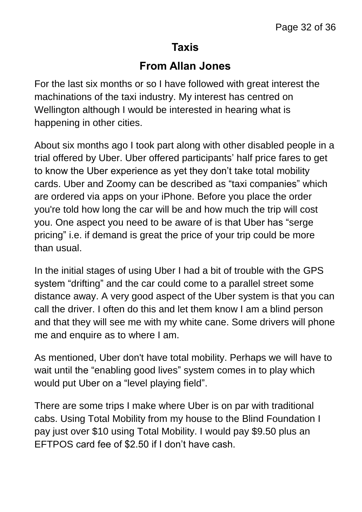#### **Taxis**

#### **From Allan Jones**

For the last six months or so I have followed with great interest the machinations of the taxi industry. My interest has centred on Wellington although I would be interested in hearing what is happening in other cities.

About six months ago I took part along with other disabled people in a trial offered by Uber. Uber offered participants' half price fares to get to know the Uber experience as yet they don't take total mobility cards. Uber and Zoomy can be described as "taxi companies" which are ordered via apps on your iPhone. Before you place the order you're told how long the car will be and how much the trip will cost you. One aspect you need to be aware of is that Uber has "serge pricing" i.e. if demand is great the price of your trip could be more than usual.

In the initial stages of using Uber I had a bit of trouble with the GPS system "drifting" and the car could come to a parallel street some distance away. A very good aspect of the Uber system is that you can call the driver. I often do this and let them know I am a blind person and that they will see me with my white cane. Some drivers will phone me and enquire as to where I am.

As mentioned, Uber don't have total mobility. Perhaps we will have to wait until the "enabling good lives" system comes in to play which would put Uber on a "level playing field".

There are some trips I make where Uber is on par with traditional cabs. Using Total Mobility from my house to the Blind Foundation I pay just over \$10 using Total Mobility. I would pay \$9.50 plus an EFTPOS card fee of \$2.50 if I don't have cash.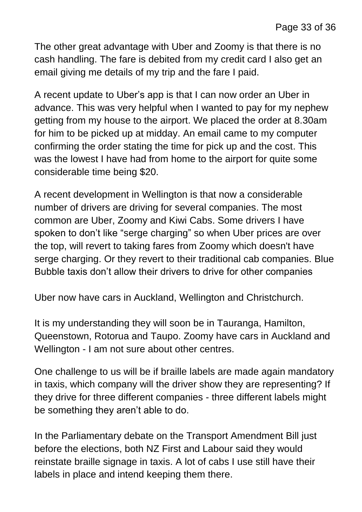The other great advantage with Uber and Zoomy is that there is no cash handling. The fare is debited from my credit card I also get an email giving me details of my trip and the fare I paid.

A recent update to Uber's app is that I can now order an Uber in advance. This was very helpful when I wanted to pay for my nephew getting from my house to the airport. We placed the order at 8.30am for him to be picked up at midday. An email came to my computer confirming the order stating the time for pick up and the cost. This was the lowest I have had from home to the airport for quite some considerable time being \$20.

A recent development in Wellington is that now a considerable number of drivers are driving for several companies. The most common are Uber, Zoomy and Kiwi Cabs. Some drivers I have spoken to don't like "serge charging" so when Uber prices are over the top, will revert to taking fares from Zoomy which doesn't have serge charging. Or they revert to their traditional cab companies. Blue Bubble taxis don't allow their drivers to drive for other companies

Uber now have cars in Auckland, Wellington and Christchurch.

It is my understanding they will soon be in Tauranga, Hamilton, Queenstown, Rotorua and Taupo. Zoomy have cars in Auckland and Wellington - I am not sure about other centres.

One challenge to us will be if braille labels are made again mandatory in taxis, which company will the driver show they are representing? If they drive for three different companies - three different labels might be something they aren't able to do.

In the Parliamentary debate on the Transport Amendment Bill just before the elections, both NZ First and Labour said they would reinstate braille signage in taxis. A lot of cabs I use still have their labels in place and intend keeping them there.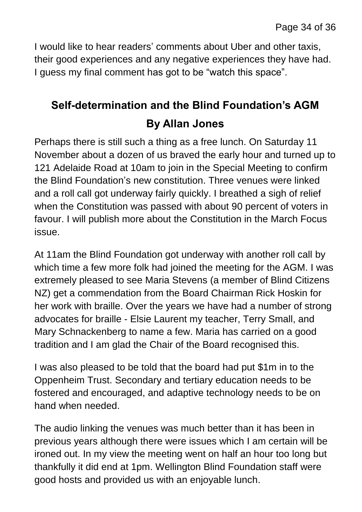I would like to hear readers' comments about Uber and other taxis, their good experiences and any negative experiences they have had. I guess my final comment has got to be "watch this space".

### **Self-determination and the Blind Foundation's AGM By Allan Jones**

Perhaps there is still such a thing as a free lunch. On Saturday 11 November about a dozen of us braved the early hour and turned up to 121 Adelaide Road at 10am to join in the Special Meeting to confirm the Blind Foundation's new constitution. Three venues were linked and a roll call got underway fairly quickly. I breathed a sigh of relief when the Constitution was passed with about 90 percent of voters in favour. I will publish more about the Constitution in the March Focus issue.

At 11am the Blind Foundation got underway with another roll call by which time a few more folk had joined the meeting for the AGM. I was extremely pleased to see Maria Stevens (a member of Blind Citizens NZ) get a commendation from the Board Chairman Rick Hoskin for her work with braille. Over the years we have had a number of strong advocates for braille - Elsie Laurent my teacher, Terry Small, and Mary Schnackenberg to name a few. Maria has carried on a good tradition and I am glad the Chair of the Board recognised this.

I was also pleased to be told that the board had put \$1m in to the Oppenheim Trust. Secondary and tertiary education needs to be fostered and encouraged, and adaptive technology needs to be on hand when needed.

The audio linking the venues was much better than it has been in previous years although there were issues which I am certain will be ironed out. In my view the meeting went on half an hour too long but thankfully it did end at 1pm. Wellington Blind Foundation staff were good hosts and provided us with an enjoyable lunch.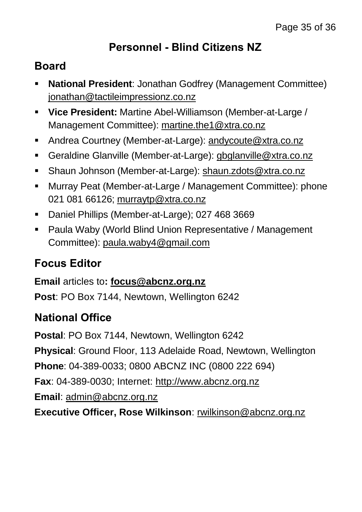#### **Personnel - Blind Citizens NZ**

#### **Board**

- **National President**: Jonathan Godfrey (Management Committee) [jonathan@tactileimpressionz.co.nz](mailto:jonathan@tactileimpressionz.co.nz)
- **Vice President:** Martine Abel-Williamson (Member-at-Large / Management Committee): [martine.the1@xtra.co.nz](mailto:martine.the1@xtra.co.nz)
- Andrea Courtney (Member-at-Large): [andycoute@xtra.co.nz](mailto:andycoute@xtra.co.nz)
- Geraldine Glanville (Member-at-Large): [gbglanville@xtra.co.nz](mailto:gbglanville@xtra.co.nz)
- Shaun Johnson (Member-at-Large): [shaun.zdots@xtra.co.nz](mailto:shaun.zdots@xtra.co.nz%20co.nz)
- Murray Peat (Member-at-Large / Management Committee): phone 021 081 66126; [murraytp@xtra.co.nz](mailto:murraytp@xtra.co.nz)
- **Daniel Phillips (Member-at-Large); 027 468 3669**
- Paula Waby (World Blind Union Representative / Management Committee): [paula.waby4@gmail.com](mailto:paula.waby4@gmail.com)

#### **Focus Editor**

**Email** articles to**: [focus@abcnz.org.nz](mailto:focus@abcnz.org.nz) Post**: PO Box 7144, Newtown, Wellington 6242

#### **National Office**

**Postal**: PO Box 7144, Newtown, Wellington 6242

**Physical**: Ground Floor, 113 Adelaide Road, Newtown, Wellington

**Phone**: 04-389-0033; 0800 ABCNZ INC (0800 222 694)

**Fax**: 04-389-0030; Internet: [http://www.abcnz.org.nz](http://www.abcnz.org.nz/)

**Email**: [admin@abcnz.org.nz](mailto:admin@abcnz.org.nz)

**Executive Officer, Rose Wilkinson**: [rwilkinson@abcnz.org.nz](mailto:rwilkinson@abcnz.org.nz)